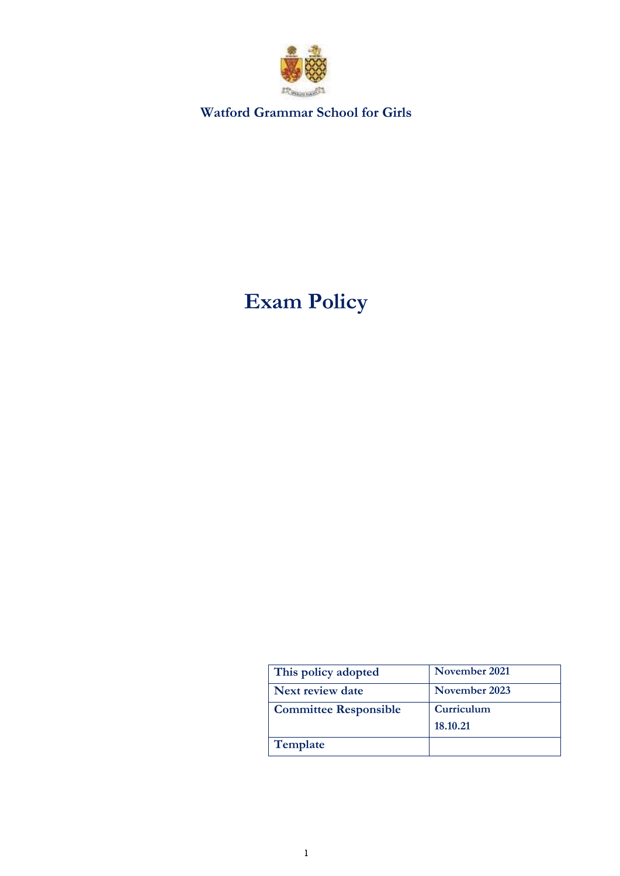

**Watford Grammar School for Girls**

# **Exam Policy**

| This policy adopted          | November 2021 |
|------------------------------|---------------|
| Next review date             | November 2023 |
| <b>Committee Responsible</b> | Curriculum    |
|                              | 18.10.21      |
| Template                     |               |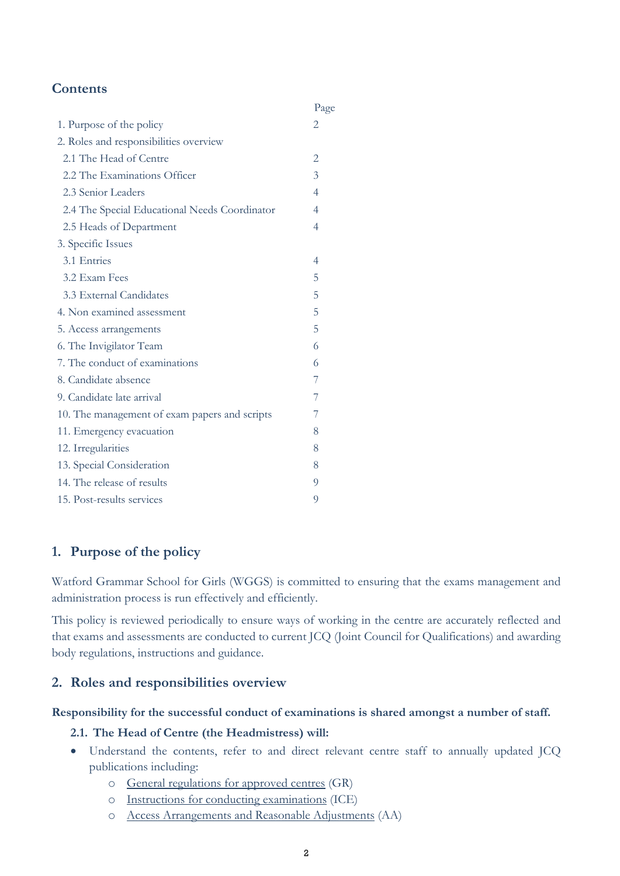# **Contents**

|                                               | Page           |
|-----------------------------------------------|----------------|
| 1. Purpose of the policy                      | 2              |
| 2. Roles and responsibilities overview        |                |
| 2.1 The Head of Centre                        |                |
| 2.2 The Examinations Officer                  |                |
| 2.3 Senior Leaders                            | $\overline{4}$ |
| 2.4 The Special Educational Needs Coordinator |                |
| 2.5 Heads of Department                       | 4              |
| 3. Specific Issues                            |                |
| 3.1 Entries                                   | 4              |
| 3.2 Exam Fees                                 | 5              |
| 3.3 External Candidates                       | 5              |
| 4. Non examined assessment                    | 5              |
| 5. Access arrangements                        | 5              |
| 6. The Invigilator Team                       | 6              |
| 7. The conduct of examinations                | 6              |
| 8. Candidate absence                          | 7              |
| 9. Candidate late arrival                     | 7              |
| 10. The management of exam papers and scripts | 7              |
| 11. Emergency evacuation                      | 8              |
| 12. Irregularities                            | 8              |
| 13. Special Consideration                     | 8              |
| 14. The release of results                    | 9              |
| 15. Post-results services                     | 9              |

# **1. Purpose of the policy**

Watford Grammar School for Girls (WGGS) is committed to ensuring that the exams management and administration process is run effectively and efficiently.

This policy is reviewed periodically to ensure ways of working in the centre are accurately reflected and that exams and assessments are conducted to current JCQ (Joint Council for Qualifications) and awarding body regulations, instructions and guidance.

### **2. Roles and responsibilities overview**

#### **Responsibility for the successful conduct of examinations is shared amongst a number of staff.**

#### **2.1. The Head of Centre (the Headmistress) will:**

- Understand the contents, refer to and direct relevant centre staff to annually updated JCQ publications including:
	- o [General regulations for approved centres](http://www.jcq.org.uk/exams-office/general-regulations) (GR)
	- o [Instructions for conducting examinations](http://www.jcq.org.uk/exams-office/ice---instructions-for-conducting-examinations) (ICE)
	- o [Access Arrangements and Reasonable Adjustments](http://www.jcq.org.uk/exams-office/access-arrangements-and-special-consideration/regulations-and-guidance) (AA)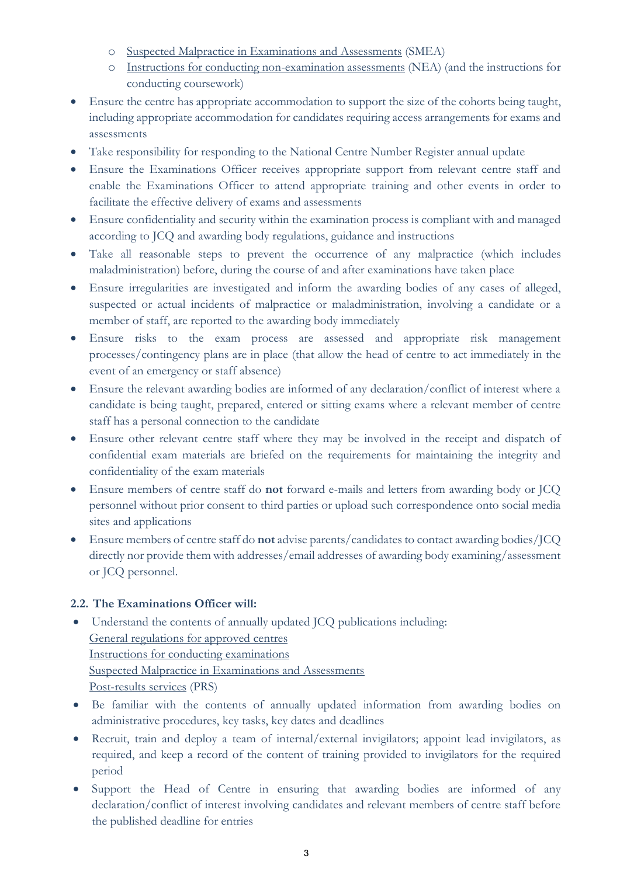- o [Suspected Malpractice in Examinations and Assessments](http://www.jcq.org.uk/exams-office/malpractice) (SMEA)
- o [Instructions for conducting non-examination assessments](http://www.jcq.org.uk/exams-office/non-examination-assessments) (NEA) (and the instructions for conducting coursework)
- Ensure the centre has appropriate accommodation to support the size of the cohorts being taught, including appropriate accommodation for candidates requiring access arrangements for exams and assessments
- Take responsibility for responding to the National Centre Number Register annual update
- Ensure the Examinations Officer receives appropriate support from relevant centre staff and enable the Examinations Officer to attend appropriate training and other events in order to facilitate the effective delivery of exams and assessments
- Ensure confidentiality and security within the examination process is compliant with and managed according to JCQ and awarding body regulations, guidance and instructions
- Take all reasonable steps to prevent the occurrence of any malpractice (which includes maladministration) before, during the course of and after examinations have taken place
- Ensure irregularities are investigated and inform the awarding bodies of any cases of alleged, suspected or actual incidents of malpractice or maladministration, involving a candidate or a member of staff, are reported to the awarding body immediately
- Ensure risks to the exam process are assessed and appropriate risk management processes/contingency plans are in place (that allow the head of centre to act immediately in the event of an emergency or staff absence)
- Ensure the relevant awarding bodies are informed of any declaration/conflict of interest where a candidate is being taught, prepared, entered or sitting exams where a relevant member of centre staff has a personal connection to the candidate
- Ensure other relevant centre staff where they may be involved in the receipt and dispatch of confidential exam materials are briefed on the requirements for maintaining the integrity and confidentiality of the exam materials
- Ensure members of centre staff do **not** forward e-mails and letters from awarding body or JCQ personnel without prior consent to third parties or upload such correspondence onto social media sites and applications
- Ensure members of centre staff do **not** advise parents/candidates to contact awarding bodies/JCQ directly nor provide them with addresses/email addresses of awarding body examining/assessment or JCQ personnel.

### **2.2. The Examinations Officer will:**

- Understand the contents of annually updated JCQ publications including: [General regulations for approved centres](http://www.jcq.org.uk/exams-office/general-regulations) [Instructions for conducting examinations](http://www.jcq.org.uk/exams-office/ice---instructions-for-conducting-examinations) [Suspected Malpractice in Examinations and Assessments](http://www.jcq.org.uk/exams-office/malpractice) [Post-results services](http://www.jcq.org.uk/exams-office/post-results-services) (PRS)
- Be familiar with the contents of annually updated information from awarding bodies on administrative procedures, key tasks, key dates and deadlines
- Recruit, train and deploy a team of internal/external invigilators; appoint lead invigilators, as required, and keep a record of the content of training provided to invigilators for the required period
- Support the Head of Centre in ensuring that awarding bodies are informed of any declaration/conflict of interest involving candidates and relevant members of centre staff before the published deadline for entries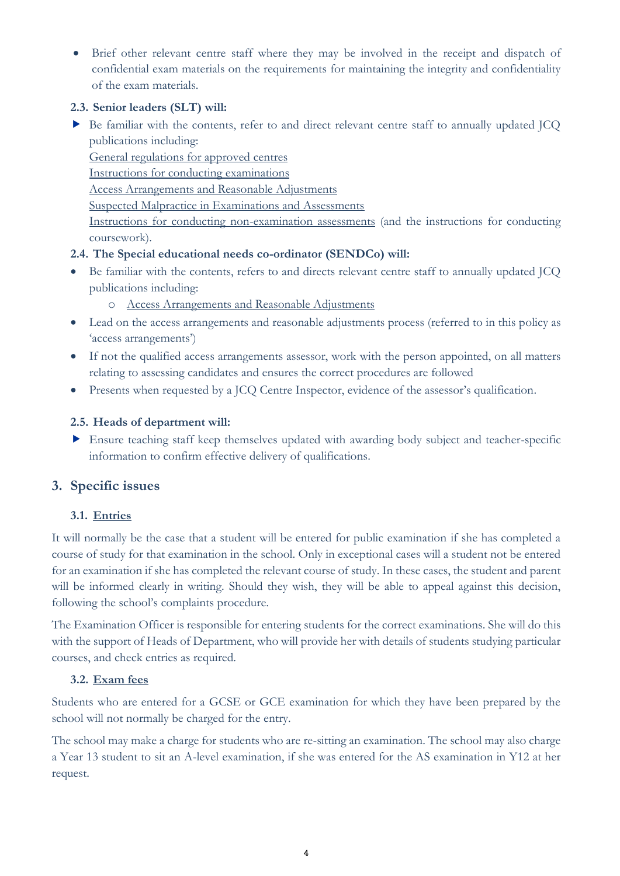• Brief other relevant centre staff where they may be involved in the receipt and dispatch of confidential exam materials on the requirements for maintaining the integrity and confidentiality of the exam materials.

#### **2.3. Senior leaders (SLT) will:**

 Be familiar with the contents, refer to and direct relevant centre staff to annually updated JCQ publications including:

[General regulations for approved centres](http://www.jcq.org.uk/exams-office/general-regulations)

[Instructions for conducting](http://www.jcq.org.uk/exams-office/ice---instructions-for-conducting-examinations) examinations

[Access Arrangements and Reasonable Adjustments](http://www.jcq.org.uk/exams-office/access-arrangements-and-special-consideration/regulations-and-guidance)

[Suspected Malpractice in Examinations and Assessments](http://www.jcq.org.uk/exams-office/malpractice)

[Instructions for conducting non-examination assessments](http://www.jcq.org.uk/exams-office/non-examination-assessments) (and the instructions for conducting coursework).

#### **2.4. The Special educational needs co-ordinator (SENDCo) will:**

- Be familiar with the contents, refers to and directs relevant centre staff to annually updated JCQ publications including:
	- o [Access Arrangements and Reasonable Adjustments](http://www.jcq.org.uk/exams-office/access-arrangements-and-special-consideration/regulations-and-guidance)
- Lead on the access arrangements and reasonable adjustments process (referred to in this policy as 'access arrangements')
- If not the qualified access arrangements assessor, work with the person appointed, on all matters relating to assessing candidates and ensures the correct procedures are followed
- Presents when requested by a JCQ Centre Inspector, evidence of the assessor's qualification.

### **2.5. Heads of department will:**

 Ensure teaching staff keep themselves updated with awarding body subject and teacher-specific information to confirm effective delivery of qualifications.

# **3. Specific issues**

### **3.1. Entries**

It will normally be the case that a student will be entered for public examination if she has completed a course of study for that examination in the school. Only in exceptional cases will a student not be entered for an examination if she has completed the relevant course of study. In these cases, the student and parent will be informed clearly in writing. Should they wish, they will be able to appeal against this decision, following the school's complaints procedure.

The Examination Officer is responsible for entering students for the correct examinations. She will do this with the support of Heads of Department, who will provide her with details of students studying particular courses, and check entries as required.

### **3.2. Exam fees**

Students who are entered for a GCSE or GCE examination for which they have been prepared by the school will not normally be charged for the entry.

The school may make a charge for students who are re-sitting an examination. The school may also charge a Year 13 student to sit an A-level examination, if she was entered for the AS examination in Y12 at her request.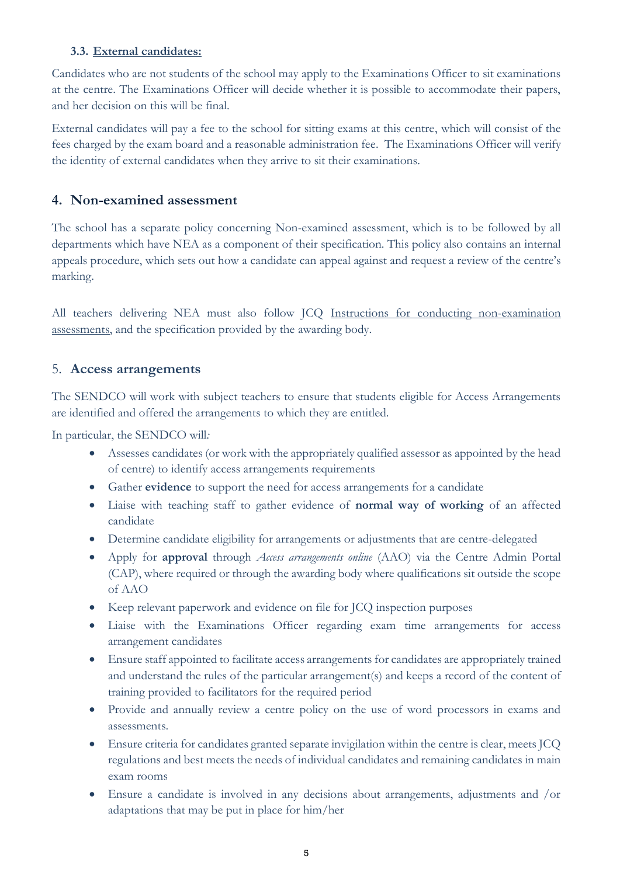#### **3.3. External candidates:**

Candidates who are not students of the school may apply to the Examinations Officer to sit examinations at the centre. The Examinations Officer will decide whether it is possible to accommodate their papers, and her decision on this will be final.

External candidates will pay a fee to the school for sitting exams at this centre, which will consist of the fees charged by the exam board and a reasonable administration fee. The Examinations Officer will verify the identity of external candidates when they arrive to sit their examinations.

## **4. Non-examined assessment**

The school has a separate policy concerning Non-examined assessment, which is to be followed by all departments which have NEA as a component of their specification. This policy also contains an internal appeals procedure, which sets out how a candidate can appeal against and request a review of the centre's marking.

All teachers delivering NEA must also follow JCQ [Instructions for conducting non-examination](http://www.jcq.org.uk/exams-office/non-examination-assessments)  [assessments,](http://www.jcq.org.uk/exams-office/non-examination-assessments) and the specification provided by the awarding body.

### 5. **Access arrangements**

The SENDCO will work with subject teachers to ensure that students eligible for Access Arrangements are identified and offered the arrangements to which they are entitled.

In particular, the SENDCO will*:*

- Assesses candidates (or work with the appropriately qualified assessor as appointed by the head of centre) to identify access arrangements requirements
- Gather **evidence** to support the need for access arrangements for a candidate
- Liaise with teaching staff to gather evidence of **normal way of working** of an affected candidate
- Determine candidate eligibility for arrangements or adjustments that are centre-delegated
- Apply for **approval** through *Access arrangements online* (AAO) via the Centre Admin Portal (CAP), where required or through the awarding body where qualifications sit outside the scope of AAO
- Keep relevant paperwork and evidence on file for JCQ inspection purposes
- Liaise with the Examinations Officer regarding exam time arrangements for access arrangement candidates
- Ensure staff appointed to facilitate access arrangements for candidates are appropriately trained and understand the rules of the particular arrangement(s) and keeps a record of the content of training provided to facilitators for the required period
- Provide and annually review a centre policy on the use of word processors in exams and assessments.
- Ensure criteria for candidates granted separate invigilation within the centre is clear, meets JCQ regulations and best meets the needs of individual candidates and remaining candidates in main exam rooms
- Ensure a candidate is involved in any decisions about arrangements, adjustments and /or adaptations that may be put in place for him/her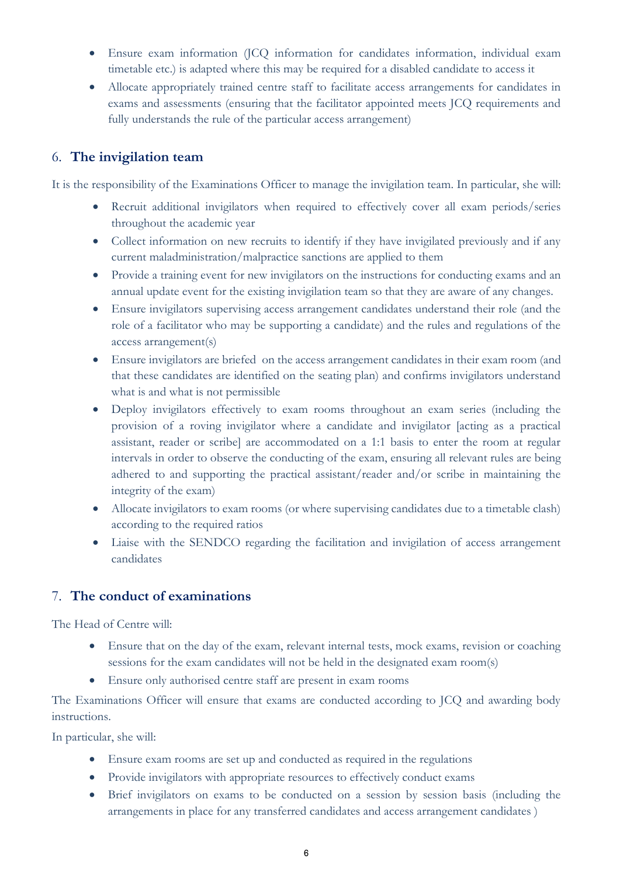- Ensure exam information (JCQ information for candidates information, individual exam timetable etc.) is adapted where this may be required for a disabled candidate to access it
- Allocate appropriately trained centre staff to facilitate access arrangements for candidates in exams and assessments (ensuring that the facilitator appointed meets JCQ requirements and fully understands the rule of the particular access arrangement)

## 6. **The invigilation team**

It is the responsibility of the Examinations Officer to manage the invigilation team. In particular, she will:

- Recruit additional invigilators when required to effectively cover all exam periods/series throughout the academic year
- Collect information on new recruits to identify if they have invigilated previously and if any current maladministration/malpractice sanctions are applied to them
- Provide a training event for new invigilators on the instructions for conducting exams and an annual update event for the existing invigilation team so that they are aware of any changes.
- Ensure invigilators supervising access arrangement candidates understand their role (and the role of a facilitator who may be supporting a candidate) and the rules and regulations of the access arrangement(s)
- Ensure invigilators are briefed on the access arrangement candidates in their exam room (and that these candidates are identified on the seating plan) and confirms invigilators understand what is and what is not permissible
- Deploy invigilators effectively to exam rooms throughout an exam series (including the provision of a roving invigilator where a candidate and invigilator [acting as a practical assistant, reader or scribe] are accommodated on a 1:1 basis to enter the room at regular intervals in order to observe the conducting of the exam, ensuring all relevant rules are being adhered to and supporting the practical assistant/reader and/or scribe in maintaining the integrity of the exam)
- Allocate invigilators to exam rooms (or where supervising candidates due to a timetable clash) according to the required ratios
- Liaise with the SENDCO regarding the facilitation and invigilation of access arrangement candidates

# 7. **The conduct of examinations**

The Head of Centre will:

- Ensure that on the day of the exam, relevant internal tests, mock exams, revision or coaching sessions for the exam candidates will not be held in the designated exam room(s)
- Ensure only authorised centre staff are present in exam rooms

The Examinations Officer will ensure that exams are conducted according to JCQ and awarding body instructions.

In particular, she will:

- Ensure exam rooms are set up and conducted as required in the regulations
- Provide invigilators with appropriate resources to effectively conduct exams
- Brief invigilators on exams to be conducted on a session by session basis (including the arrangements in place for any transferred candidates and access arrangement candidates )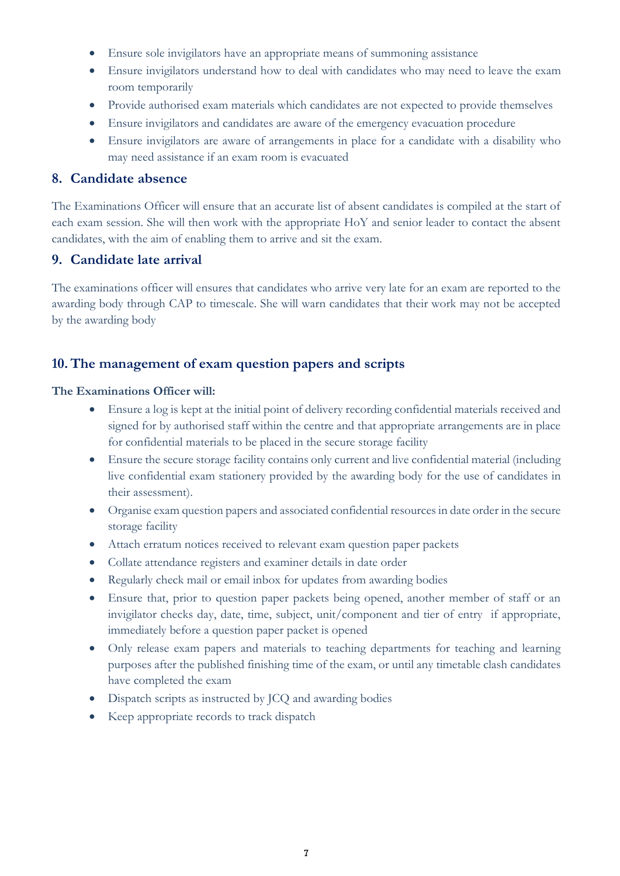- Ensure sole invigilators have an appropriate means of summoning assistance
- Ensure invigilators understand how to deal with candidates who may need to leave the exam room temporarily
- Provide authorised exam materials which candidates are not expected to provide themselves
- Ensure invigilators and candidates are aware of the emergency evacuation procedure
- Ensure invigilators are aware of arrangements in place for a candidate with a disability who may need assistance if an exam room is evacuated

### **8. Candidate absence**

The Examinations Officer will ensure that an accurate list of absent candidates is compiled at the start of each exam session. She will then work with the appropriate HoY and senior leader to contact the absent candidates, with the aim of enabling them to arrive and sit the exam.

# **9. Candidate late arrival**

The examinations officer will ensures that candidates who arrive very late for an exam are reported to the awarding body through CAP to timescale. She will warn candidates that their work may not be accepted by the awarding body

# **10.The management of exam question papers and scripts**

#### **The Examinations Officer will:**

- Ensure a log is kept at the initial point of delivery recording confidential materials received and signed for by authorised staff within the centre and that appropriate arrangements are in place for confidential materials to be placed in the secure storage facility
- Ensure the secure storage facility contains only current and live confidential material (including live confidential exam stationery provided by the awarding body for the use of candidates in their assessment).
- Organise exam question papers and associated confidential resources in date order in the secure storage facility
- Attach erratum notices received to relevant exam question paper packets
- Collate attendance registers and examiner details in date order
- Regularly check mail or email inbox for updates from awarding bodies
- Ensure that, prior to question paper packets being opened, another member of staff or an invigilator checks day, date, time, subject, unit/component and tier of entry if appropriate, immediately before a question paper packet is opened
- Only release exam papers and materials to teaching departments for teaching and learning purposes after the published finishing time of the exam, or until any timetable clash candidates have completed the exam
- Dispatch scripts as instructed by JCQ and awarding bodies
- Keep appropriate records to track dispatch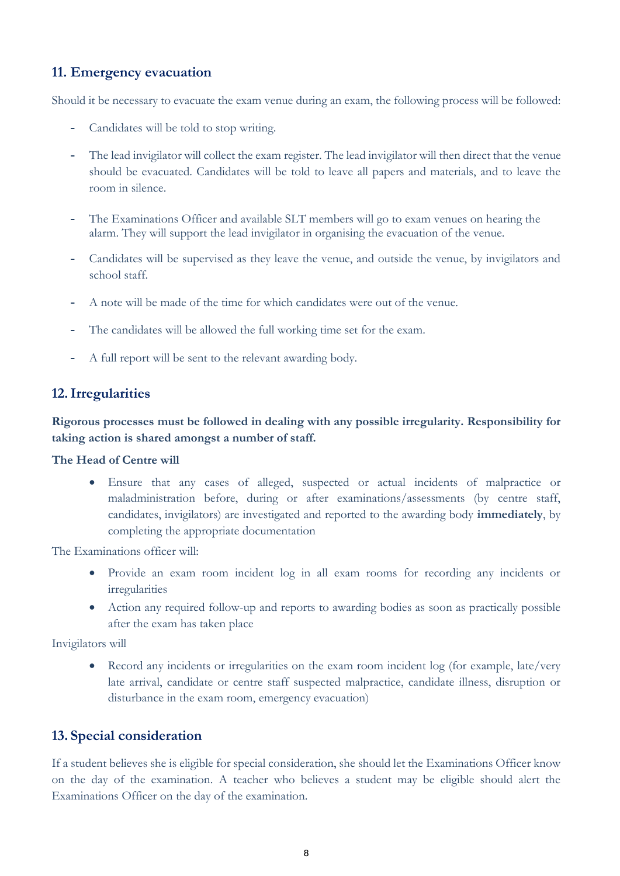# **11. Emergency evacuation**

Should it be necessary to evacuate the exam venue during an exam, the following process will be followed:

- Candidates will be told to stop writing.
- The lead invigilator will collect the exam register. The lead invigilator will then direct that the venue should be evacuated. Candidates will be told to leave all papers and materials, and to leave the room in silence.
- The Examinations Officer and available SLT members will go to exam venues on hearing the alarm. They will support the lead invigilator in organising the evacuation of the venue.
- Candidates will be supervised as they leave the venue, and outside the venue, by invigilators and school staff.
- A note will be made of the time for which candidates were out of the venue.
- The candidates will be allowed the full working time set for the exam.
- A full report will be sent to the relevant awarding body.

### **12.Irregularities**

**Rigorous processes must be followed in dealing with any possible irregularity. Responsibility for taking action is shared amongst a number of staff.**

**The Head of Centre will**

• Ensure that any cases of alleged, suspected or actual incidents of malpractice or maladministration before, during or after examinations/assessments (by centre staff, candidates, invigilators) are investigated and reported to the awarding body **immediately**, by completing the appropriate documentation

The Examinations officer will:

- Provide an exam room incident log in all exam rooms for recording any incidents or irregularities
- Action any required follow-up and reports to awarding bodies as soon as practically possible after the exam has taken place

Invigilators will

• Record any incidents or irregularities on the exam room incident log (for example, late/very late arrival, candidate or centre staff suspected malpractice, candidate illness, disruption or disturbance in the exam room, emergency evacuation)

#### **13. Special consideration**

If a student believes she is eligible for special consideration, she should let the Examinations Officer know on the day of the examination. A teacher who believes a student may be eligible should alert the Examinations Officer on the day of the examination.